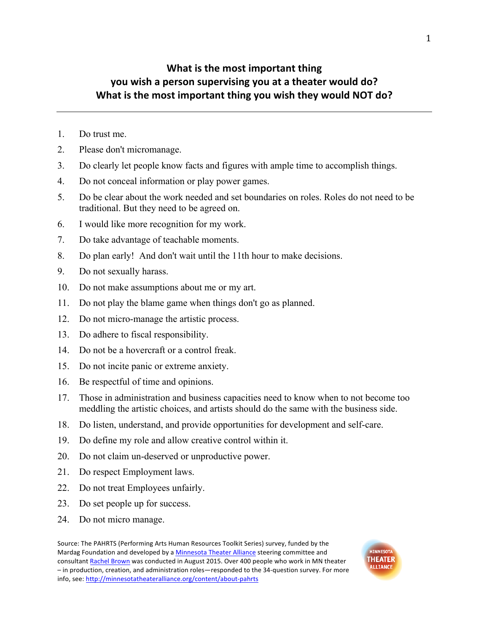## **What is the most important thing you** wish a person supervising you at a theater would do? What is the most important thing you wish they would NOT do?

- 1. Do trust me.
- 2. Please don't micromanage.
- 3. Do clearly let people know facts and figures with ample time to accomplish things.
- 4. Do not conceal information or play power games.
- 5. Do be clear about the work needed and set boundaries on roles. Roles do not need to be traditional. But they need to be agreed on.
- 6. I would like more recognition for my work.
- 7. Do take advantage of teachable moments.
- 8. Do plan early! And don't wait until the 11th hour to make decisions.
- 9. Do not sexually harass.
- 10. Do not make assumptions about me or my art.
- 11. Do not play the blame game when things don't go as planned.
- 12. Do not micro-manage the artistic process.
- 13. Do adhere to fiscal responsibility.
- 14. Do not be a hovercraft or a control freak.
- 15. Do not incite panic or extreme anxiety.
- 16. Be respectful of time and opinions.
- 17. Those in administration and business capacities need to know when to not become too meddling the artistic choices, and artists should do the same with the business side.
- 18. Do listen, understand, and provide opportunities for development and self-care.
- 19. Do define my role and allow creative control within it.
- 20. Do not claim un-deserved or unproductive power.
- 21. Do respect Employment laws.
- 22. Do not treat Employees unfairly.
- 23. Do set people up for success.
- 24. Do not micro manage.

Source: The PAHRTS (Performing Arts Human Resources Toolkit Series) survey, funded by the Mardag Foundation and developed by a Minnesota Theater Alliance steering committee and consultant Rachel Brown was conducted in August 2015. Over 400 people who work in MN theater - in production, creation, and administration roles-responded to the 34-question survey. For more info, see: http://minnesotatheateralliance.org/content/about-pahrts

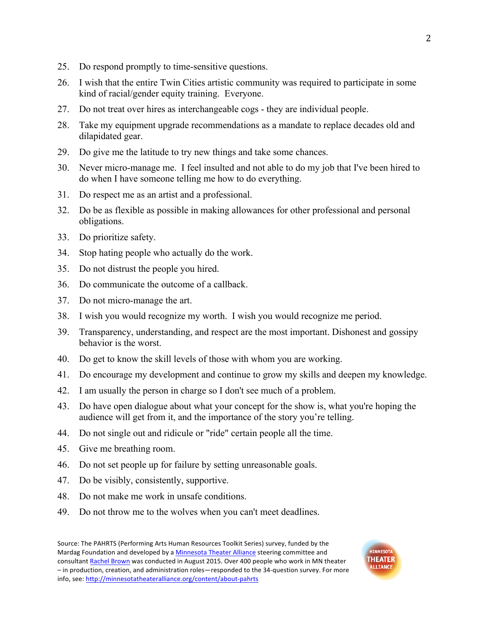- 25. Do respond promptly to time-sensitive questions.
- 26. I wish that the entire Twin Cities artistic community was required to participate in some kind of racial/gender equity training. Everyone.
- 27. Do not treat over hires as interchangeable cogs they are individual people.
- 28. Take my equipment upgrade recommendations as a mandate to replace decades old and dilapidated gear.
- 29. Do give me the latitude to try new things and take some chances.
- 30. Never micro-manage me. I feel insulted and not able to do my job that I've been hired to do when I have someone telling me how to do everything.
- 31. Do respect me as an artist and a professional.
- 32. Do be as flexible as possible in making allowances for other professional and personal obligations.
- 33. Do prioritize safety.
- 34. Stop hating people who actually do the work.
- 35. Do not distrust the people you hired.
- 36. Do communicate the outcome of a callback.
- 37. Do not micro-manage the art.
- 38. I wish you would recognize my worth. I wish you would recognize me period.
- 39. Transparency, understanding, and respect are the most important. Dishonest and gossipy behavior is the worst.
- 40. Do get to know the skill levels of those with whom you are working.
- 41. Do encourage my development and continue to grow my skills and deepen my knowledge.
- 42. I am usually the person in charge so I don't see much of a problem.
- 43. Do have open dialogue about what your concept for the show is, what you're hoping the audience will get from it, and the importance of the story you're telling.
- 44. Do not single out and ridicule or "ride" certain people all the time.
- 45. Give me breathing room.
- 46. Do not set people up for failure by setting unreasonable goals.
- 47. Do be visibly, consistently, supportive.
- 48. Do not make me work in unsafe conditions.
- 49. Do not throw me to the wolves when you can't meet deadlines.

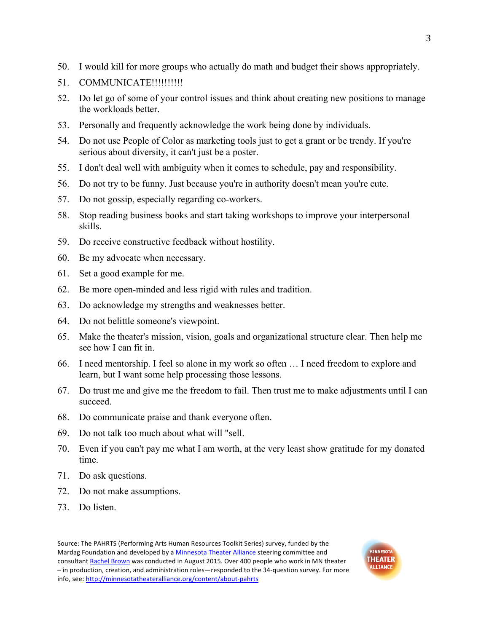- 50. I would kill for more groups who actually do math and budget their shows appropriately.
- 51. COMMUNICATE!!!!!!!!!!!
- 52. Do let go of some of your control issues and think about creating new positions to manage the workloads better.
- 53. Personally and frequently acknowledge the work being done by individuals.
- 54. Do not use People of Color as marketing tools just to get a grant or be trendy. If you're serious about diversity, it can't just be a poster.
- 55. I don't deal well with ambiguity when it comes to schedule, pay and responsibility.
- 56. Do not try to be funny. Just because you're in authority doesn't mean you're cute.
- 57. Do not gossip, especially regarding co-workers.
- 58. Stop reading business books and start taking workshops to improve your interpersonal skills.
- 59. Do receive constructive feedback without hostility.
- 60. Be my advocate when necessary.
- 61. Set a good example for me.
- 62. Be more open-minded and less rigid with rules and tradition.
- 63. Do acknowledge my strengths and weaknesses better.
- 64. Do not belittle someone's viewpoint.
- 65. Make the theater's mission, vision, goals and organizational structure clear. Then help me see how I can fit in.
- 66. I need mentorship. I feel so alone in my work so often … I need freedom to explore and learn, but I want some help processing those lessons.
- 67. Do trust me and give me the freedom to fail. Then trust me to make adjustments until I can succeed.
- 68. Do communicate praise and thank everyone often.
- 69. Do not talk too much about what will "sell.
- 70. Even if you can't pay me what I am worth, at the very least show gratitude for my donated time.
- 71. Do ask questions.
- 72. Do not make assumptions.
- 73. Do listen.

Source: The PAHRTS (Performing Arts Human Resources Toolkit Series) survey, funded by the Mardag Foundation and developed by a Minnesota Theater Alliance steering committee and consultant Rachel Brown was conducted in August 2015. Over 400 people who work in MN theater – in production, creation, and administration roles—responded to the 34-question survey. For more info, see: http://minnesotatheateralliance.org/content/about-pahrts